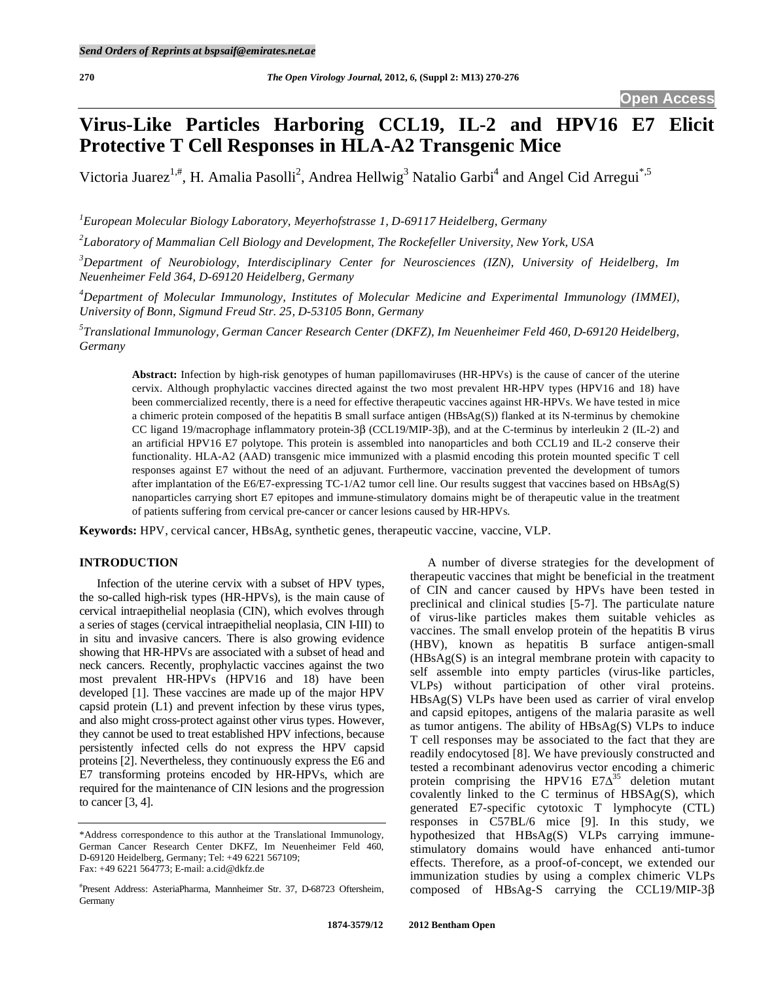# **Virus-Like Particles Harboring CCL19, IL-2 and HPV16 E7 Elicit Protective T Cell Responses in HLA-A2 Transgenic Mice**

Victoria Juarez<sup>1,#</sup>, H. Amalia Pasolli<sup>2</sup>, Andrea Hellwig<sup>3</sup> Natalio Garbi<sup>4</sup> and Angel Cid Arregui<sup>\*,5</sup>

*1 European Molecular Biology Laboratory, Meyerhofstrasse 1, D-69117 Heidelberg, Germany* 

*2 Laboratory of Mammalian Cell Biology and Development, The Rockefeller University, New York, USA* 

*3 Department of Neurobiology, Interdisciplinary Center for Neurosciences (IZN), University of Heidelberg, Im Neuenheimer Feld 364, D-69120 Heidelberg, Germany* 

*4 Department of Molecular Immunology, Institutes of Molecular Medicine and Experimental Immunology (IMMEI), University of Bonn, Sigmund Freud Str. 25, D-53105 Bonn, Germany* 

*5 Translational Immunology, German Cancer Research Center (DKFZ), Im Neuenheimer Feld 460, D-69120 Heidelberg, Germany* 

**Abstract:** Infection by high-risk genotypes of human papillomaviruses (HR-HPVs) is the cause of cancer of the uterine cervix. Although prophylactic vaccines directed against the two most prevalent HR-HPV types (HPV16 and 18) have been commercialized recently, there is a need for effective therapeutic vaccines against HR-HPVs. We have tested in mice a chimeric protein composed of the hepatitis B small surface antigen (HBsAg(S)) flanked at its N-terminus by chemokine CC ligand 19/macrophage inflammatory protein-3 $\beta$  (CCL19/MIP-3 $\beta$ ), and at the C-terminus by interleukin 2 (IL-2) and an artificial HPV16 E7 polytope. This protein is assembled into nanoparticles and both CCL19 and IL-2 conserve their functionality. HLA-A2 (AAD) transgenic mice immunized with a plasmid encoding this protein mounted specific T cell responses against E7 without the need of an adjuvant. Furthermore, vaccination prevented the development of tumors after implantation of the E6/E7-expressing TC-1/A2 tumor cell line. Our results suggest that vaccines based on HBsAg(S) nanoparticles carrying short E7 epitopes and immune-stimulatory domains might be of therapeutic value in the treatment of patients suffering from cervical pre-cancer or cancer lesions caused by HR-HPVs.

**Keywords:** HPV, cervical cancer, HBsAg, synthetic genes, therapeutic vaccine, vaccine, VLP.

# **INTRODUCTION**

 Infection of the uterine cervix with a subset of HPV types, the so-called high-risk types (HR-HPVs), is the main cause of cervical intraepithelial neoplasia (CIN), which evolves through a series of stages (cervical intraepithelial neoplasia, CIN I-III) to in situ and invasive cancers. There is also growing evidence showing that HR-HPVs are associated with a subset of head and neck cancers. Recently, prophylactic vaccines against the two most prevalent HR-HPVs (HPV16 and 18) have been developed [1]. These vaccines are made up of the major HPV capsid protein (L1) and prevent infection by these virus types, and also might cross-protect against other virus types. However, they cannot be used to treat established HPV infections, because persistently infected cells do not express the HPV capsid proteins [2]. Nevertheless, they continuously express the E6 and E7 transforming proteins encoded by HR-HPVs, which are required for the maintenance of CIN lesions and the progression to cancer [3, 4].

 A number of diverse strategies for the development of therapeutic vaccines that might be beneficial in the treatment of CIN and cancer caused by HPVs have been tested in preclinical and clinical studies [5-7]. The particulate nature of virus-like particles makes them suitable vehicles as vaccines. The small envelop protein of the hepatitis B virus (HBV), known as hepatitis B surface antigen-small (HBsAg(S) is an integral membrane protein with capacity to self assemble into empty particles (virus-like particles, VLPs) without participation of other viral proteins. HBsAg(S) VLPs have been used as carrier of viral envelop and capsid epitopes, antigens of the malaria parasite as well as tumor antigens. The ability of HBsAg(S) VLPs to induce T cell responses may be associated to the fact that they are readily endocytosed [8]. We have previously constructed and tested a recombinant adenovirus vector encoding a chimeric protein comprising the HPV16  $E7\Delta^{35}$  deletion mutant covalently linked to the C terminus of HBSAg(S), which generated E7-specific cytotoxic T lymphocyte (CTL) responses in C57BL/6 mice [9]. In this study, we hypothesized that HBsAg(S) VLPs carrying immunestimulatory domains would have enhanced anti-tumor effects. Therefore, as a proof-of-concept, we extended our immunization studies by using a complex chimeric VLPs composed of HBsAg-S carrying the CCL19/MIP-3 $\beta$ 

<sup>\*</sup>Address correspondence to this author at the Translational Immunology, German Cancer Research Center DKFZ, Im Neuenheimer Feld 460, D-69120 Heidelberg, Germany; Tel: +49 6221 567109; Fax: +49 6221 564773; E-mail: a.cid@dkfz.de

<sup>#</sup> Present Address: AsteriaPharma, Mannheimer Str. 37, D-68723 Oftersheim, Germany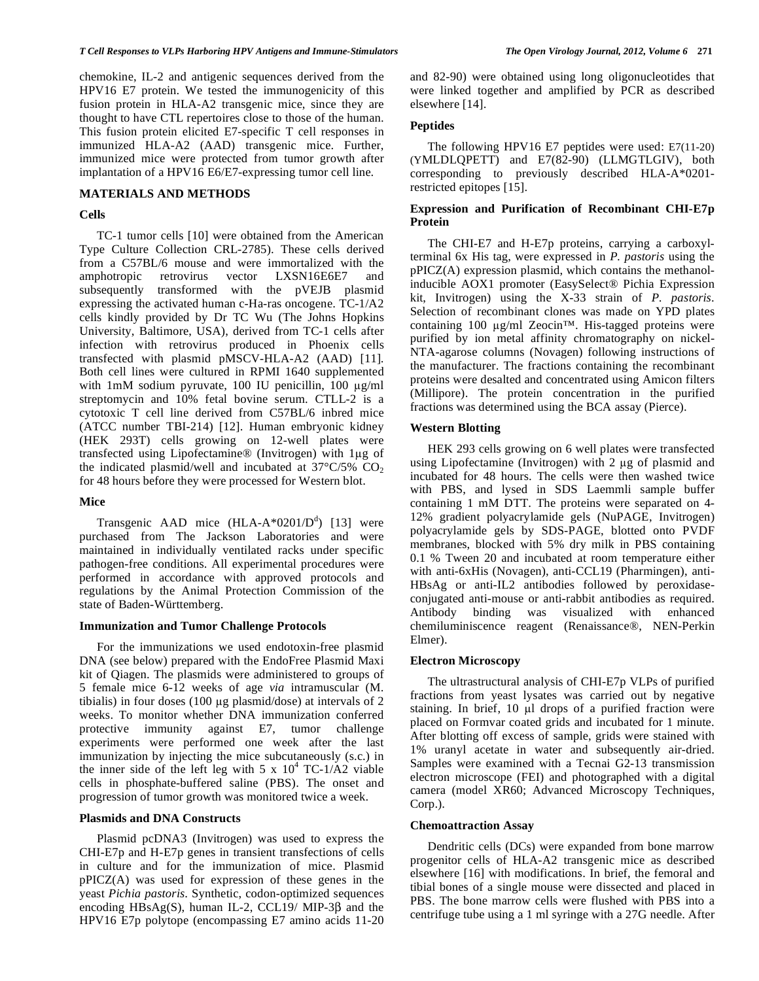chemokine, IL-2 and antigenic sequences derived from the HPV16 E7 protein. We tested the immunogenicity of this fusion protein in HLA-A2 transgenic mice, since they are thought to have CTL repertoires close to those of the human. This fusion protein elicited E7-specific T cell responses in immunized HLA-A2 (AAD) transgenic mice. Further, immunized mice were protected from tumor growth after implantation of a HPV16 E6/E7-expressing tumor cell line.

## **MATERIALS AND METHODS**

## **Cells**

 TC-1 tumor cells [10] were obtained from the American Type Culture Collection CRL-2785). These cells derived from a C57BL/6 mouse and were immortalized with the amphotropic retrovirus vector LXSN16E6E7 and subsequently transformed with the pVEJB plasmid expressing the activated human c-Ha-ras oncogene. TC-1/A2 cells kindly provided by Dr TC Wu (The Johns Hopkins University, Baltimore, USA), derived from TC-1 cells after infection with retrovirus produced in Phoenix cells transfected with plasmid pMSCV-HLA-A2 (AAD) [11]. Both cell lines were cultured in RPMI 1640 supplemented with  $1 \text{mM}$  sodium pyruvate, 100 IU penicillin, 100  $\mu$ g/ml streptomycin and 10% fetal bovine serum. CTLL-2 is a cytotoxic T cell line derived from C57BL/6 inbred mice (ATCC number TBI-214) [12]. Human embryonic kidney (HEK 293T) cells growing on 12-well plates were transfected using Lipofectamine® (Invitrogen) with 1µg of the indicated plasmid/well and incubated at  $37^{\circ}$ C/5% CO<sub>2</sub> for 48 hours before they were processed for Western blot.

# **Mice**

Transgenic AAD mice  $(HLA-A*0201/D<sup>d</sup>)$  [13] were purchased from The Jackson Laboratories and were maintained in individually ventilated racks under specific pathogen-free conditions. All experimental procedures were performed in accordance with approved protocols and regulations by the Animal Protection Commission of the state of Baden-Württemberg.

# **Immunization and Tumor Challenge Protocols**

 For the immunizations we used endotoxin-free plasmid DNA (see below) prepared with the EndoFree Plasmid Maxi kit of Qiagen. The plasmids were administered to groups of 5 female mice 6-12 weeks of age *via* intramuscular (M. tibialis) in four doses (100  $\mu$ g plasmid/dose) at intervals of 2 weeks. To monitor whether DNA immunization conferred protective immunity against E7, tumor challenge experiments were performed one week after the last immunization by injecting the mice subcutaneously (s.c.) in the inner side of the left leg with  $5 \times 10^4$  TC-1/A2 viable cells in phosphate-buffered saline (PBS). The onset and progression of tumor growth was monitored twice a week.

## **Plasmids and DNA Constructs**

 Plasmid pcDNA3 (Invitrogen) was used to express the CHI-E7p and H-E7p genes in transient transfections of cells in culture and for the immunization of mice. Plasmid pPICZ(A) was used for expression of these genes in the yeast *Pichia pastoris*. Synthetic, codon-optimized sequences encoding  $HBsAg(S)$ , human IL-2, CCL19/ MIP-3 $\beta$  and the HPV16 E7p polytope (encompassing E7 amino acids 11-20

and 82-90) were obtained using long oligonucleotides that were linked together and amplified by PCR as described elsewhere [14].

# **Peptides**

 The following HPV16 E7 peptides were used: E7(11-20) (YMLDLQPETT) and E7(82-90) (LLMGTLGIV), both corresponding to previously described HLA-A\*0201 restricted epitopes [15].

# **Expression and Purification of Recombinant CHI-E7p Protein**

 The CHI-E7 and H-E7p proteins, carrying a carboxylterminal 6x His tag, were expressed in *P. pastoris* using the pPICZ(A) expression plasmid, which contains the methanolinducible AOX1 promoter (EasySelect® Pichia Expression kit, Invitrogen) using the X-33 strain of *P. pastoris*. Selection of recombinant clones was made on YPD plates containing 100 µg/ml Zeocin™. His-tagged proteins were purified by ion metal affinity chromatography on nickel-NTA-agarose columns (Novagen) following instructions of the manufacturer. The fractions containing the recombinant proteins were desalted and concentrated using Amicon filters (Millipore). The protein concentration in the purified fractions was determined using the BCA assay (Pierce).

## **Western Blotting**

 HEK 293 cells growing on 6 well plates were transfected using Lipofectamine (Invitrogen) with  $2 \mu$ g of plasmid and incubated for 48 hours. The cells were then washed twice with PBS, and lysed in SDS Laemmli sample buffer containing 1 mM DTT. The proteins were separated on 4- 12% gradient polyacrylamide gels (NuPAGE, Invitrogen) polyacrylamide gels by SDS-PAGE, blotted onto PVDF membranes, blocked with 5% dry milk in PBS containing 0.1 % Tween 20 and incubated at room temperature either with anti-6xHis (Novagen), anti-CCL19 (Pharmingen), anti-HBsAg or anti-IL2 antibodies followed by peroxidaseconjugated anti-mouse or anti-rabbit antibodies as required. Antibody binding was visualized with enhanced chemiluminiscence reagent (Renaissance®, NEN-Perkin Elmer).

# **Electron Microscopy**

 The ultrastructural analysis of CHI-E7p VLPs of purified fractions from yeast lysates was carried out by negative staining. In brief,  $10 \mu l$  drops of a purified fraction were placed on Formvar coated grids and incubated for 1 minute. After blotting off excess of sample, grids were stained with 1% uranyl acetate in water and subsequently air-dried. Samples were examined with a Tecnai G2-13 transmission electron microscope (FEI) and photographed with a digital camera (model XR60; Advanced Microscopy Techniques, Corp.).

## **Chemoattraction Assay**

 Dendritic cells (DCs) were expanded from bone marrow progenitor cells of HLA-A2 transgenic mice as described elsewhere [16] with modifications. In brief, the femoral and tibial bones of a single mouse were dissected and placed in PBS. The bone marrow cells were flushed with PBS into a centrifuge tube using a 1 ml syringe with a 27G needle. After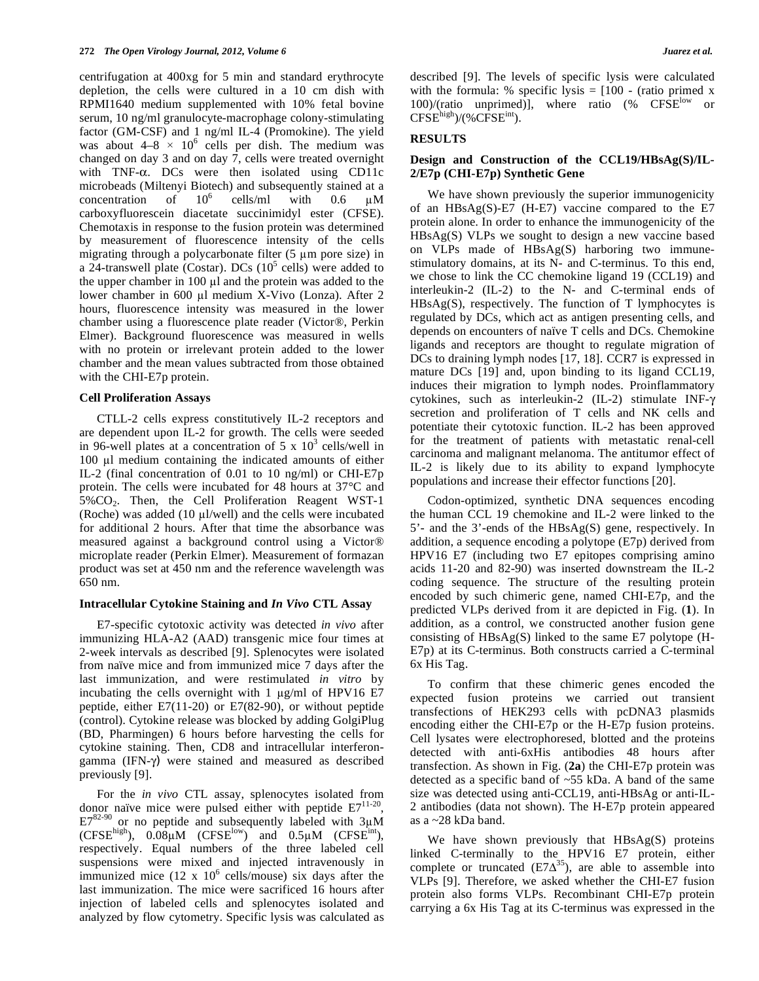centrifugation at 400xg for 5 min and standard erythrocyte depletion, the cells were cultured in a 10 cm dish with RPMI1640 medium supplemented with 10% fetal bovine serum, 10 ng/ml granulocyte-macrophage colony-stimulating factor (GM-CSF) and 1 ng/ml IL-4 (Promokine). The yield was about  $4-8 \times 10^6$  cells per dish. The medium was changed on day 3 and on day 7, cells were treated overnight with  $TNF-\alpha$ . DCs were then isolated using CD11c microbeads (Miltenyi Biotech) and subsequently stained at a concentration of  $10^6$ cells/ml with  $0.6 \text{ }\mu\text{M}$ carboxyfluorescein diacetate succinimidyl ester (CFSE). Chemotaxis in response to the fusion protein was determined by measurement of fluorescence intensity of the cells migrating through a polycarbonate filter  $(5 \mu m)$  pore size) in a 24-transwell plate (Costar). DCs  $(10^5 \text{ cells})$  were added to the upper chamber in  $100 \mu l$  and the protein was added to the lower chamber in 600 µl medium X-Vivo (Lonza). After 2 hours, fluorescence intensity was measured in the lower chamber using a fluorescence plate reader (Victor®, Perkin Elmer). Background fluorescence was measured in wells with no protein or irrelevant protein added to the lower chamber and the mean values subtracted from those obtained with the CHI-E7p protein.

## **Cell Proliferation Assays**

 CTLL-2 cells express constitutively IL-2 receptors and are dependent upon IL-2 for growth. The cells were seeded in 96-well plates at a concentration of 5 x  $10^3$  cells/well in 100 µl medium containing the indicated amounts of either IL-2 (final concentration of 0.01 to 10 ng/ml) or CHI-E7p protein. The cells were incubated for 48 hours at 37°C and 5%CO2. Then, the Cell Proliferation Reagent WST-1 (Roche) was added  $(10 \mu l/well)$  and the cells were incubated for additional 2 hours. After that time the absorbance was measured against a background control using a Victor® microplate reader (Perkin Elmer). Measurement of formazan product was set at 450 nm and the reference wavelength was 650 nm.

#### **Intracellular Cytokine Staining and** *In Vivo* **CTL Assay**

 E7-specific cytotoxic activity was detected *in vivo* after immunizing HLA-A2 (AAD) transgenic mice four times at 2-week intervals as described [9]. Splenocytes were isolated from naïve mice and from immunized mice 7 days after the last immunization, and were restimulated *in vitro* by incubating the cells overnight with  $1 \mu g/ml$  of HPV16 E7 peptide, either E7(11-20) or E7(82-90), or without peptide (control). Cytokine release was blocked by adding GolgiPlug (BD, Pharmingen) 6 hours before harvesting the cells for cytokine staining. Then, CD8 and intracellular interferongamma (IFN- $\gamma$ ) were stained and measured as described previously [9].

 For the *in vivo* CTL assay, splenocytes isolated from donor naïve mice were pulsed either with peptide  $E7^{11-20}$ ,  $E7^{82-90}$  or no peptide and subsequently labeled with  $3\mu$ M  $(CFSE<sup>high</sup>)$ ,  $0.08\mu M$   $(CFSE<sup>low</sup>)$  and  $0.5\mu M$   $(CFSE<sup>int</sup>)$ , respectively. Equal numbers of the three labeled cell suspensions were mixed and injected intravenously in immunized mice  $(12 \times 10^6 \text{ cells/mouse})$  six days after the last immunization. The mice were sacrificed 16 hours after injection of labeled cells and splenocytes isolated and analyzed by flow cytometry. Specific lysis was calculated as

described [9]. The levels of specific lysis were calculated with the formula: % specific lysis  $=$  [100 - (ratio primed x 100)/(ratio unprimed)], where ratio (%  $CFSE<sup>low</sup>$  or  $CFSE<sup>high</sup>$ )/(% $CFSE<sup>int</sup>$ ).

## **RESULTS**

## **Design and Construction of the CCL19/HBsAg(S)/IL-2/E7p (CHI-E7p) Synthetic Gene**

 We have shown previously the superior immunogenicity of an HBsAg(S)-E7 (H-E7) vaccine compared to the E7 protein alone. In order to enhance the immunogenicity of the HBsAg(S) VLPs we sought to design a new vaccine based on VLPs made of HBsAg(S) harboring two immunestimulatory domains, at its N- and C-terminus. To this end, we chose to link the CC chemokine ligand 19 (CCL19) and interleukin-2 (IL-2) to the N- and C-terminal ends of  $HBsAg(S)$ , respectively. The function of T lymphocytes is regulated by DCs, which act as antigen presenting cells, and depends on encounters of naïve T cells and DCs. Chemokine ligands and receptors are thought to regulate migration of DCs to draining lymph nodes [17, 18]. CCR7 is expressed in mature DCs [19] and, upon binding to its ligand CCL19, induces their migration to lymph nodes. Proinflammatory cytokines, such as interleukin-2 (IL-2) stimulate INF secretion and proliferation of T cells and NK cells and potentiate their cytotoxic function. IL-2 has been approved for the treatment of patients with metastatic renal-cell carcinoma and malignant melanoma. The antitumor effect of IL-2 is likely due to its ability to expand lymphocyte populations and increase their effector functions [20].

 Codon-optimized, synthetic DNA sequences encoding the human CCL 19 chemokine and IL-2 were linked to the 5'- and the 3'-ends of the HBsAg(S) gene, respectively. In addition, a sequence encoding a polytope (E7p) derived from HPV16 E7 (including two E7 epitopes comprising amino acids 11-20 and 82-90) was inserted downstream the IL-2 coding sequence. The structure of the resulting protein encoded by such chimeric gene, named CHI-E7p, and the predicted VLPs derived from it are depicted in Fig. (**1**). In addition, as a control, we constructed another fusion gene consisting of HBsAg(S) linked to the same E7 polytope (H-E7p) at its C-terminus. Both constructs carried a C-terminal 6x His Tag.

 To confirm that these chimeric genes encoded the expected fusion proteins we carried out transient transfections of HEK293 cells with pcDNA3 plasmids encoding either the CHI-E7p or the H-E7p fusion proteins. Cell lysates were electrophoresed, blotted and the proteins detected with anti-6xHis antibodies 48 hours after transfection. As shown in Fig. (**2a**) the CHI-E7p protein was detected as a specific band of ~55 kDa. A band of the same size was detected using anti-CCL19, anti-HBsAg or anti-IL-2 antibodies (data not shown). The H-E7p protein appeared as a ~28 kDa band.

 We have shown previously that HBsAg(S) proteins linked C-terminally to the HPV16 E7 protein, either complete or truncated  $(E7\Delta^{35})$ , are able to assemble into VLPs [9]. Therefore, we asked whether the CHI-E7 fusion protein also forms VLPs. Recombinant CHI-E7p protein carrying a 6x His Tag at its C-terminus was expressed in the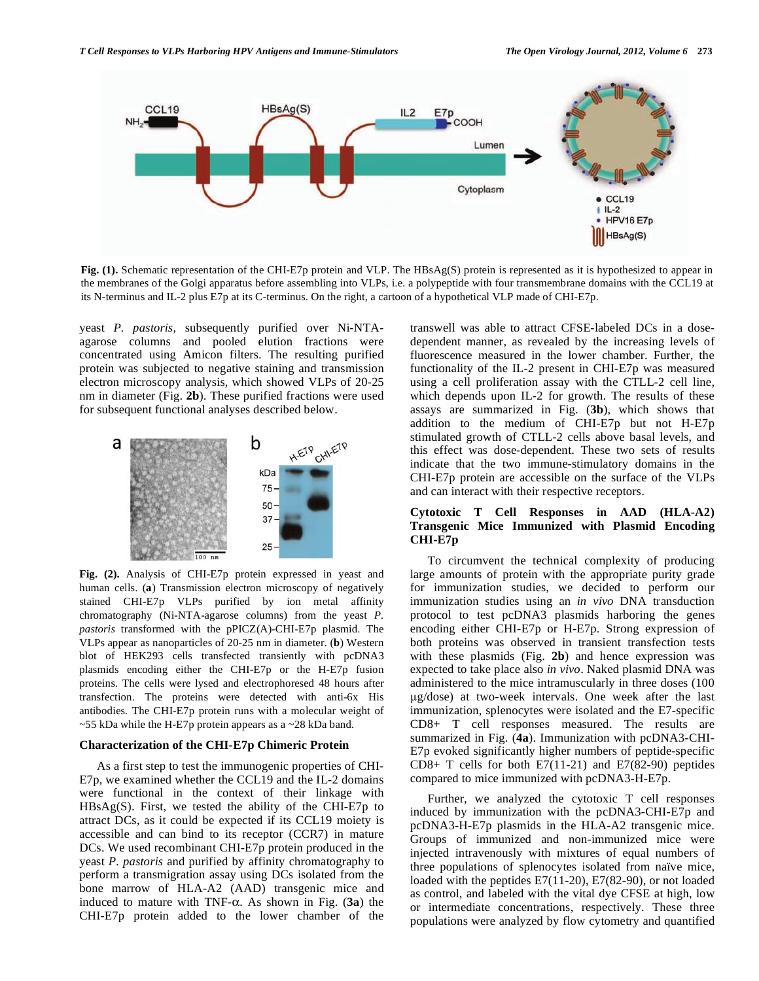

**Fig. (1).** Schematic representation of the CHI-E7p protein and VLP. The HBsAg(S) protein is represented as it is hypothesized to appear in the membranes of the Golgi apparatus before assembling into VLPs, i.e. a polypeptide with four transmembrane domains with the CCL19 at its N-terminus and IL-2 plus E7p at its C-terminus. On the right, a cartoon of a hypothetical VLP made of CHI-E7p.

yeast *P. pastoris*, subsequently purified over Ni-NTAagarose columns and pooled elution fractions were concentrated using Amicon filters. The resulting purified protein was subjected to negative staining and transmission electron microscopy analysis, which showed VLPs of 20-25 nm in diameter (Fig. **2b**). These purified fractions were used for subsequent functional analyses described below.



**Fig. (2).** Analysis of CHI-E7p protein expressed in yeast and human cells. (**a**) Transmission electron microscopy of negatively stained CHI-E7p VLPs purified by ion metal affinity chromatography (Ni-NTA-agarose columns) from the yeast *P. pastoris* transformed with the pPICZ(A)-CHI-E7p plasmid. The VLPs appear as nanoparticles of 20-25 nm in diameter. (**b**) Western blot of HEK293 cells transfected transiently with pcDNA3 plasmids encoding either the CHI-E7p or the H-E7p fusion proteins. The cells were lysed and electrophoresed 48 hours after transfection. The proteins were detected with anti-6x His antibodies. The CHI-E7p protein runs with a molecular weight of ~55 kDa while the H-E7p protein appears as a ~28 kDa band.

## **Characterization of the CHI-E7p Chimeric Protein**

 As a first step to test the immunogenic properties of CHI-E7p, we examined whether the CCL19 and the IL-2 domains were functional in the context of their linkage with  $HBsAg(S)$ . First, we tested the ability of the CHI-E7p to attract DCs, as it could be expected if its CCL19 moiety is accessible and can bind to its receptor (CCR7) in mature DCs. We used recombinant CHI-E7p protein produced in the yeast *P. pastoris* and purified by affinity chromatography to perform a transmigration assay using DCs isolated from the bone marrow of HLA-A2 (AAD) transgenic mice and induced to mature with TNF- $\alpha$ . As shown in Fig. (3a) the CHI-E7p protein added to the lower chamber of the

transwell was able to attract CFSE-labeled DCs in a dosedependent manner, as revealed by the increasing levels of fluorescence measured in the lower chamber. Further, the functionality of the IL-2 present in CHI-E7p was measured using a cell proliferation assay with the CTLL-2 cell line, which depends upon IL-2 for growth. The results of these assays are summarized in Fig. (**3b**), which shows that addition to the medium of CHI-E7p but not H-E7p stimulated growth of CTLL-2 cells above basal levels, and this effect was dose-dependent. These two sets of results indicate that the two immune-stimulatory domains in the CHI-E7p protein are accessible on the surface of the VLPs and can interact with their respective receptors.

# **Cytotoxic T Cell Responses in AAD (HLA-A2) Transgenic Mice Immunized with Plasmid Encoding CHI-E7p**

 To circumvent the technical complexity of producing large amounts of protein with the appropriate purity grade for immunization studies, we decided to perform our immunization studies using an *in vivo* DNA transduction protocol to test pcDNA3 plasmids harboring the genes encoding either CHI-E7p or H-E7p. Strong expression of both proteins was observed in transient transfection tests with these plasmids (Fig. **2b**) and hence expression was expected to take place also *in vivo*. Naked plasmid DNA was administered to the mice intramuscularly in three doses (100 g/dose) at two-week intervals. One week after the last immunization, splenocytes were isolated and the E7-specific CD8+ T cell responses measured. The results are summarized in Fig. (**4a**). Immunization with pcDNA3-CHI-E7p evoked significantly higher numbers of peptide-specific CD8+ T cells for both E7(11-21) and E7(82-90) peptides compared to mice immunized with pcDNA3-H-E7p.

 Further, we analyzed the cytotoxic T cell responses induced by immunization with the pcDNA3-CHI-E7p and pcDNA3-H-E7p plasmids in the HLA-A2 transgenic mice. Groups of immunized and non-immunized mice were injected intravenously with mixtures of equal numbers of three populations of splenocytes isolated from naïve mice, loaded with the peptides E7(11-20), E7(82-90), or not loaded as control, and labeled with the vital dye CFSE at high, low or intermediate concentrations, respectively. These three populations were analyzed by flow cytometry and quantified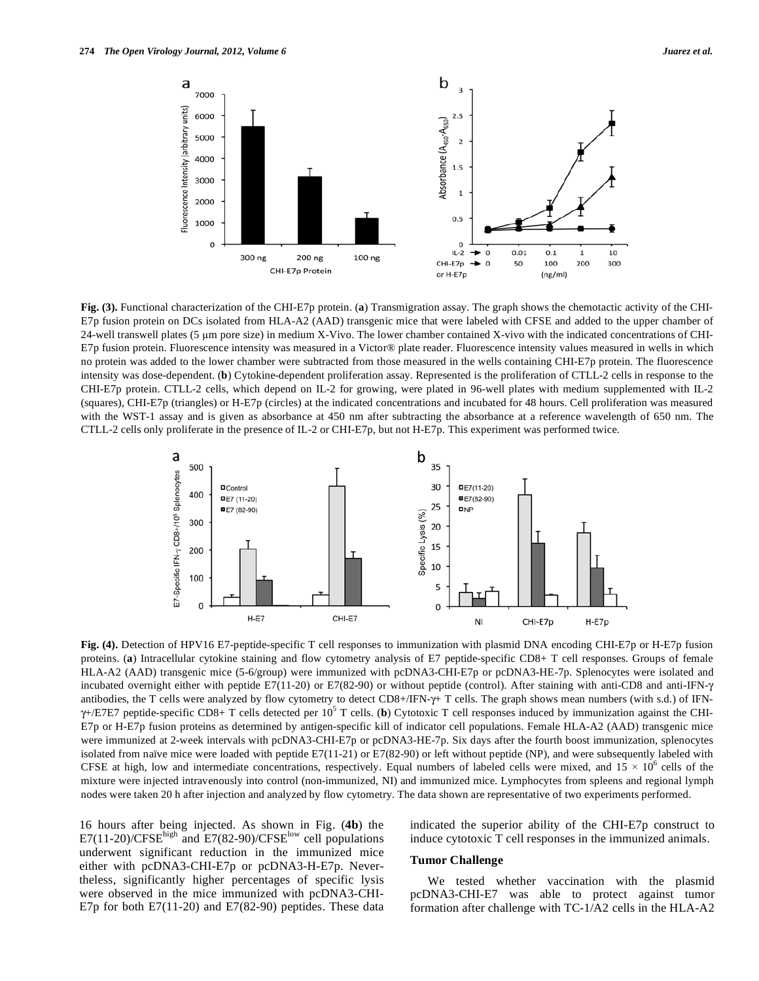

**Fig. (3).** Functional characterization of the CHI-E7p protein. (**a**) Transmigration assay. The graph shows the chemotactic activity of the CHI-E7p fusion protein on DCs isolated from HLA-A2 (AAD) transgenic mice that were labeled with CFSE and added to the upper chamber of 24-well transwell plates (5 m pore size) in medium X-Vivo. The lower chamber contained X-vivo with the indicated concentrations of CHI-E7p fusion protein. Fluorescence intensity was measured in a Victor® plate reader. Fluorescence intensity values measured in wells in which no protein was added to the lower chamber were subtracted from those measured in the wells containing CHI-E7p protein. The fluorescence intensity was dose-dependent. (**b**) Cytokine-dependent proliferation assay. Represented is the proliferation of CTLL-2 cells in response to the CHI-E7p protein. CTLL-2 cells, which depend on IL-2 for growing, were plated in 96-well plates with medium supplemented with IL-2 (squares), CHI-E7p (triangles) or H-E7p (circles) at the indicated concentrations and incubated for 48 hours. Cell proliferation was measured with the WST-1 assay and is given as absorbance at 450 nm after subtracting the absorbance at a reference wavelength of 650 nm. The CTLL-2 cells only proliferate in the presence of IL-2 or CHI-E7p, but not H-E7p. This experiment was performed twice.



**Fig. (4).** Detection of HPV16 E7-peptide-specific T cell responses to immunization with plasmid DNA encoding CHI-E7p or H-E7p fusion proteins. (**a**) Intracellular cytokine staining and flow cytometry analysis of E7 peptide-specific CD8+ T cell responses. Groups of female HLA-A2 (AAD) transgenic mice (5-6/group) were immunized with pcDNA3-CHI-E7p or pcDNA3-HE-7p. Splenocytes were isolated and incubated overnight either with peptide E7(11-20) or E7(82-90) or without peptide (control). After staining with anti-CD8 and anti-IFN- $\gamma$ antibodies, the T cells were analyzed by flow cytometry to detect  $CD8+/IFN-\gamma+$  T cells. The graph shows mean numbers (with s.d.) of IFN- $\gamma$ +/E7E7 peptide-specific CD8+ T cells detected per 10<sup>5</sup> T cells. (**b**) Cytotoxic T cell responses induced by immunization against the CHI-E7p or H-E7p fusion proteins as determined by antigen-specific kill of indicator cell populations. Female HLA-A2 (AAD) transgenic mice were immunized at 2-week intervals with pcDNA3-CHI-E7p or pcDNA3-HE-7p. Six days after the fourth boost immunization, splenocytes isolated from naïve mice were loaded with peptide E7(11-21) or E7(82-90) or left without peptide (NP), and were subsequently labeled with CFSE at high, low and intermediate concentrations, respectively. Equal numbers of labeled cells were mixed, and  $15 \times 10^6$  cells of the mixture were injected intravenously into control (non-immunized, NI) and immunized mice. Lymphocytes from spleens and regional lymph nodes were taken 20 h after injection and analyzed by flow cytometry. The data shown are representative of two experiments performed.

16 hours after being injected. As shown in Fig. (**4b**) the  $E7(11-20)/CFSE<sup>high</sup>$  and  $E7(82-90)/CFSE<sup>low</sup>$  cell populations underwent significant reduction in the immunized mice either with pcDNA3-CHI-E7p or pcDNA3-H-E7p. Nevertheless, significantly higher percentages of specific lysis were observed in the mice immunized with pcDNA3-CHI-E7p for both E7(11-20) and E7(82-90) peptides. These data indicated the superior ability of the CHI-E7p construct to induce cytotoxic T cell responses in the immunized animals.

## **Tumor Challenge**

 We tested whether vaccination with the plasmid pcDNA3-CHI-E7 was able to protect against tumor formation after challenge with TC-1/A2 cells in the HLA-A2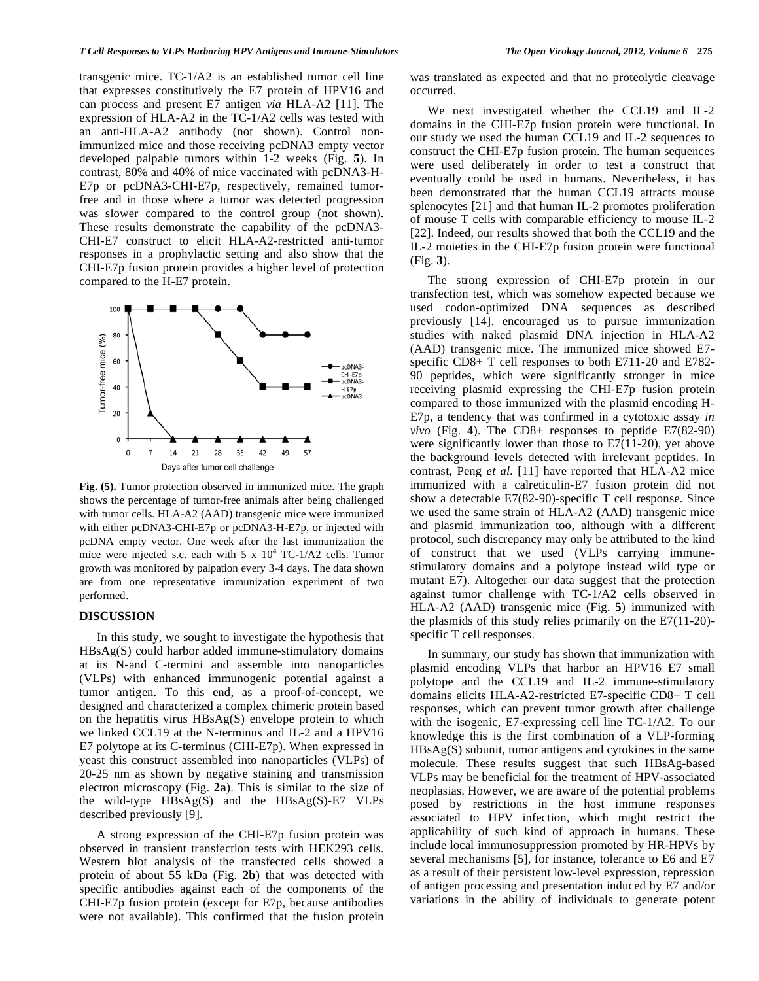transgenic mice. TC-1/A2 is an established tumor cell line that expresses constitutively the E7 protein of HPV16 and can process and present E7 antigen *via* HLA-A2 [11]. The expression of HLA-A2 in the TC-1/A2 cells was tested with an anti-HLA-A2 antibody (not shown). Control nonimmunized mice and those receiving pcDNA3 empty vector developed palpable tumors within 1-2 weeks (Fig. **5**). In contrast, 80% and 40% of mice vaccinated with pcDNA3-H-E7p or pcDNA3-CHI-E7p, respectively, remained tumorfree and in those where a tumor was detected progression was slower compared to the control group (not shown). These results demonstrate the capability of the pcDNA3- CHI-E7 construct to elicit HLA-A2-restricted anti-tumor responses in a prophylactic setting and also show that the CHI-E7p fusion protein provides a higher level of protection compared to the H-E7 protein.



**Fig. (5).** Tumor protection observed in immunized mice. The graph shows the percentage of tumor-free animals after being challenged with tumor cells. HLA-A2 (AAD) transgenic mice were immunized with either pcDNA3-CHI-E7p or pcDNA3-H-E7p, or injected with pcDNA empty vector. One week after the last immunization the mice were injected s.c. each with  $5 \times 10^4$  TC-1/A2 cells. Tumor growth was monitored by palpation every 3-4 days. The data shown are from one representative immunization experiment of two performed.

## **DISCUSSION**

 In this study, we sought to investigate the hypothesis that HBsAg(S) could harbor added immune-stimulatory domains at its N-and C-termini and assemble into nanoparticles (VLPs) with enhanced immunogenic potential against a tumor antigen. To this end, as a proof-of-concept, we designed and characterized a complex chimeric protein based on the hepatitis virus HBsAg(S) envelope protein to which we linked CCL19 at the N-terminus and IL-2 and a HPV16 E7 polytope at its C-terminus (CHI-E7p). When expressed in yeast this construct assembled into nanoparticles (VLPs) of 20-25 nm as shown by negative staining and transmission electron microscopy (Fig. **2a**). This is similar to the size of the wild-type HBsAg(S) and the HBsAg(S)-E7 VLPs described previously [9].

 A strong expression of the CHI-E7p fusion protein was observed in transient transfection tests with HEK293 cells. Western blot analysis of the transfected cells showed a protein of about 55 kDa (Fig. **2b**) that was detected with specific antibodies against each of the components of the CHI-E7p fusion protein (except for E7p, because antibodies were not available). This confirmed that the fusion protein

was translated as expected and that no proteolytic cleavage occurred.

 We next investigated whether the CCL19 and IL-2 domains in the CHI-E7p fusion protein were functional. In our study we used the human CCL19 and IL-2 sequences to construct the CHI-E7p fusion protein. The human sequences were used deliberately in order to test a construct that eventually could be used in humans. Nevertheless, it has been demonstrated that the human CCL19 attracts mouse splenocytes [21] and that human IL-2 promotes proliferation of mouse T cells with comparable efficiency to mouse IL-2 [22]. Indeed, our results showed that both the CCL19 and the IL-2 moieties in the CHI-E7p fusion protein were functional (Fig. **3**).

 The strong expression of CHI-E7p protein in our transfection test, which was somehow expected because we used codon-optimized DNA sequences as described previously [14]. encouraged us to pursue immunization studies with naked plasmid DNA injection in HLA-A2 (AAD) transgenic mice. The immunized mice showed E7 specific CD8+ T cell responses to both E711-20 and E782- 90 peptides, which were significantly stronger in mice receiving plasmid expressing the CHI-E7p fusion protein compared to those immunized with the plasmid encoding H-E7p, a tendency that was confirmed in a cytotoxic assay *in vivo* (Fig. **4**). The CD8+ responses to peptide E7(82-90) were significantly lower than those to E7(11-20), yet above the background levels detected with irrelevant peptides. In contrast, Peng *et al.* [11] have reported that HLA-A2 mice immunized with a calreticulin-E7 fusion protein did not show a detectable E7(82-90)-specific T cell response. Since we used the same strain of HLA-A2 (AAD) transgenic mice and plasmid immunization too, although with a different protocol, such discrepancy may only be attributed to the kind of construct that we used (VLPs carrying immunestimulatory domains and a polytope instead wild type or mutant E7). Altogether our data suggest that the protection against tumor challenge with TC-1/A2 cells observed in HLA-A2 (AAD) transgenic mice (Fig. **5**) immunized with the plasmids of this study relies primarily on the E7(11-20) specific T cell responses.

 In summary, our study has shown that immunization with plasmid encoding VLPs that harbor an HPV16 E7 small polytope and the CCL19 and IL-2 immune-stimulatory domains elicits HLA-A2-restricted E7-specific CD8+ T cell responses, which can prevent tumor growth after challenge with the isogenic, E7-expressing cell line TC-1/A2. To our knowledge this is the first combination of a VLP-forming HBsAg(S) subunit, tumor antigens and cytokines in the same molecule. These results suggest that such HBsAg-based VLPs may be beneficial for the treatment of HPV-associated neoplasias. However, we are aware of the potential problems posed by restrictions in the host immune responses associated to HPV infection, which might restrict the applicability of such kind of approach in humans. These include local immunosuppression promoted by HR-HPVs by several mechanisms [5], for instance, tolerance to E6 and E7 as a result of their persistent low-level expression, repression of antigen processing and presentation induced by E7 and/or variations in the ability of individuals to generate potent